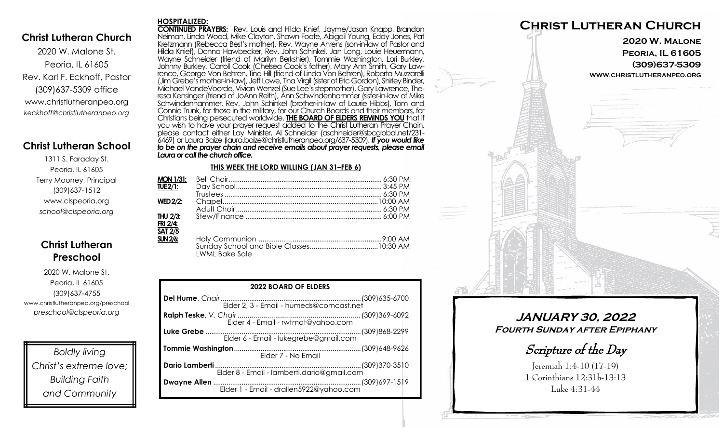### **Christ Lutheran Church**

2020 W. Malone St. Peoria, IL 61605 Rev. Karl F. Eckhoff, Pastor (309)637-5309 office www.christlutheranpeo.org *keckhoff@christlutheranpeo.org*

# **Christ Lutheran School**

1311 S. Faraday St. Peoria, IL 61605 Terry Mooney, Principal (309)637-1512 www.clspeoria.org *school@clspeoria.org*

# **Christ Lutheran Preschool**

2020 W. Malone St. Peoria, IL 61605 (309)637-4755 www.christlutheranpeo.org/preschool *preschool@clspeoria.org*

*Boldly living Christ's extreme love; Building Faith and Community*

#### **HOSPITALIZED:**

**CONTINUED PRAYERS:** Rev. Louis and Hilda Knief, Jayme/Jason Knapp, Brandon Neiman, Linda Wood, Mike Clayton, Shawn Foote, Abigail Young, Eddy Jones, Pat Kretzmann (Rebecca Best's mother), Rev. Wayne Ahrens (son-in-law of Pastor and Hilda Knief), Donna Hawbecker, Rev. John Schinkel, Jan Long, Louie Heuermann, Wayne Schneider (friend of Marilyn Berkshier), Tommie Washington, Lori Burkley, Johnny Burkley, Carroll Cook (Chelsea Cook's father), Mary Ann Smith, Gary Lawrence, George Von Behren, Tina Hill (friend of Linda Von Behren), Roberta Muzzarelli (Jim Grebe's mother-in-law), Jeff Lowe, Tina Virgil (sister of Eric Gordon), Shirley Binder, Michael VandeVoorde, Vivian Wenzel (Sue Lee's stepmother), Gary Lawrence, Theresa Kensinger (friend of JoAnn Reith), Ann Schwindenhammer (sister-in-law of Mike Schwindenhammer, Rev. John Schinkel (brother-in-law of Laurie Hibbs), Tom and Connie Trunk, for those in the military, for our Church Boards and their members, for Christians being persecuted worldwide. **THE BOARD OF ELDERS REMINDS YOU** that if you wish to have your prayer request added to the Christ Lutheran Prayer Chain, please contact either Lay Minister, Al Schneider (aschneider@sbcglobal.net/231- 6469) or Laura Baize (laura.baize@christlutheranpeo.org/637-5309). *If you would like to be on the prayer chain and receive emails about prayer requests, please email Laura or call the church office.*

#### **THIS WEEK THE LORD WILLING (JAN 31–FEB 6)**

| <b>MON 1/31:</b>            |                       |  |
|-----------------------------|-----------------------|--|
| <b>TUE 2/1:</b>             |                       |  |
|                             |                       |  |
| <b>WED 2/2:</b>             |                       |  |
|                             |                       |  |
| THU 2/3:                    |                       |  |
| FRI 2/4:                    |                       |  |
| <b>SAT 2/5</b>              |                       |  |
| $\overline{\text{SIN2/6:}}$ |                       |  |
|                             |                       |  |
|                             | <b>LWML Bake Sale</b> |  |

| <b>2022 BOARD OF ELDERS</b>           |  |  |  |
|---------------------------------------|--|--|--|
|                                       |  |  |  |
| Elder 4 - Email - rwtmat@yahoo.com    |  |  |  |
| Elder 6 - Email - lukegrebe@gmail.com |  |  |  |
| Elder 7 - No Email                    |  |  |  |
|                                       |  |  |  |
|                                       |  |  |  |



**JANUARY 30, 2022 Fourth Sunday after Epiphany** 

Scripture of the Day

Jeremiah 1:4-10 (17-19) 1 Corinthians 12:31b-13:13 Luke 4:31-44